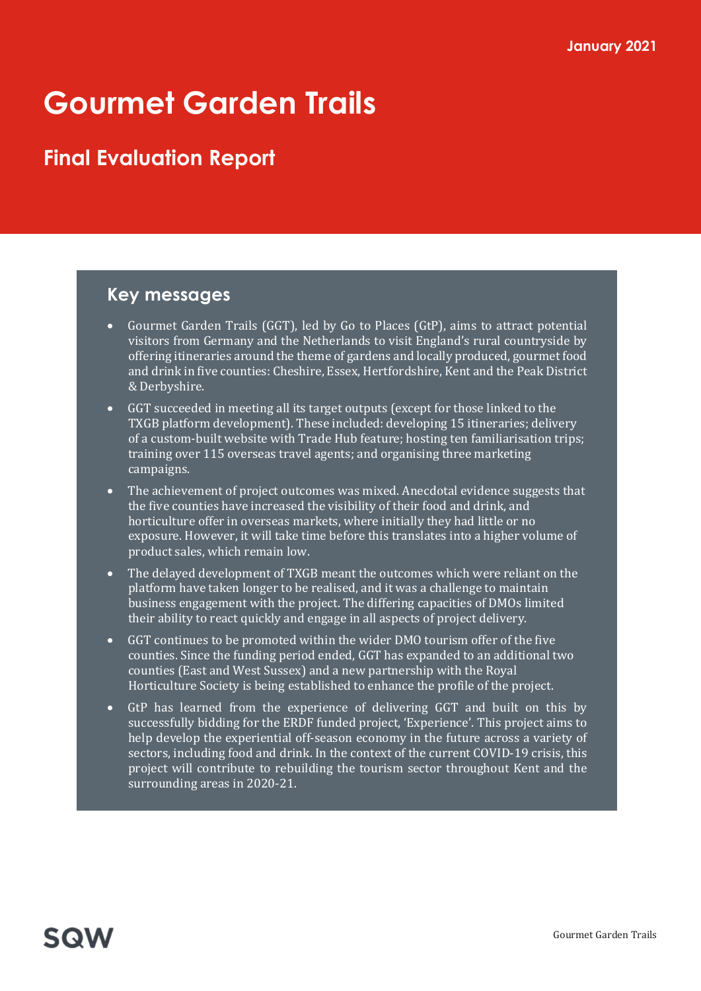# Gourmet Garden Trails

## Final Evaluation Report

## Key messages

- Gourmet Garden Trails (GGT), led by Go to Places (GtP), aims to attract potential visitors from Germany and the Netherlands to visit England's rural countryside by offering itineraries around the theme of gardens and locally produced, gourmet food and drink in five counties: Cheshire, Essex, Hertfordshire, Kent and the Peak District & Derbyshire.
- GGT succeeded in meeting all its target outputs (except for those linked to the TXGB platform development). These included: developing 15 itineraries; delivery of a custom-built website with Trade Hub feature; hosting ten familiarisation trips; training over 115 overseas travel agents; and organising three marketing campaigns.
- The achievement of project outcomes was mixed. Anecdotal evidence suggests that the five counties have increased the visibility of their food and drink, and horticulture offer in overseas markets, where initially they had little or no exposure. However, it will take time before this translates into a higher volume of product sales, which remain low.
- The delayed development of TXGB meant the outcomes which were reliant on the platform have taken longer to be realised, and it was a challenge to maintain business engagement with the project. The differing capacities of DMOs limited their ability to react quickly and engage in all aspects of project delivery.
- GGT continues to be promoted within the wider DMO tourism offer of the five counties. Since the funding period ended, GGT has expanded to an additional two counties (East and West Sussex) and a new partnership with the Royal Horticulture Society is being established to enhance the profile of the project.
- GtP has learned from the experience of delivering GGT and built on this by successfully bidding for the ERDF funded project, 'Experience'. This project aims to help develop the experiential off-season economy in the future across a variety of sectors, including food and drink. In the context of the current COVID-19 crisis, this project will contribute to rebuilding the tourism sector throughout Kent and the surrounding areas in 2020-21.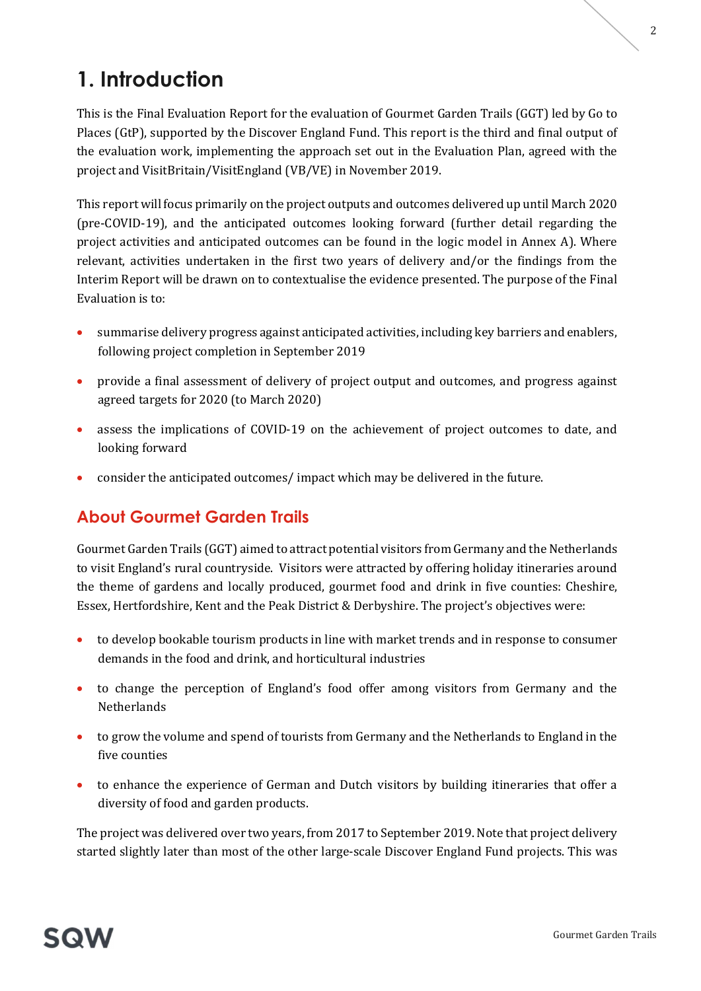# **SQW**

# 1. Introduction

This is the Final Evaluation Report for the evaluation of Gourmet Garden Trails (GGT) led by Go to Places (GtP), supported by the Discover England Fund. This report is the third and final output of the evaluation work, implementing the approach set out in the Evaluation Plan, agreed with the project and VisitBritain/VisitEngland (VB/VE) in November 2019.

This report will focus primarily on the project outputs and outcomes delivered up until March 2020 (pre-COVID-19), and the anticipated outcomes looking forward (further detail regarding the project activities and anticipated outcomes can be found in the logic model in Annex A). Where relevant, activities undertaken in the first two years of delivery and/or the findings from the Interim Report will be drawn on to contextualise the evidence presented. The purpose of the Final Evaluation is to:

- summarise delivery progress against anticipated activities, including key barriers and enablers, following project completion in September 2019
- provide a final assessment of delivery of project output and outcomes, and progress against agreed targets for 2020 (to March 2020)
- assess the implications of COVID-19 on the achievement of project outcomes to date, and looking forward
- consider the anticipated outcomes/ impact which may be delivered in the future.

## About Gourmet Garden Trails

Gourmet Garden Trails (GGT) aimed to attract potential visitors from Germany and the Netherlands to visit England's rural countryside. Visitors were attracted by offering holiday itineraries around the theme of gardens and locally produced, gourmet food and drink in five counties: Cheshire, Essex, Hertfordshire, Kent and the Peak District & Derbyshire. The project's objectives were:

- to develop bookable tourism products in line with market trends and in response to consumer demands in the food and drink, and horticultural industries
- to change the perception of England's food offer among visitors from Germany and the **Netherlands**
- to grow the volume and spend of tourists from Germany and the Netherlands to England in the five counties
- to enhance the experience of German and Dutch visitors by building itineraries that offer a diversity of food and garden products.

The project was delivered over two years, from 2017 to September 2019. Note that project delivery started slightly later than most of the other large-scale Discover England Fund projects. This was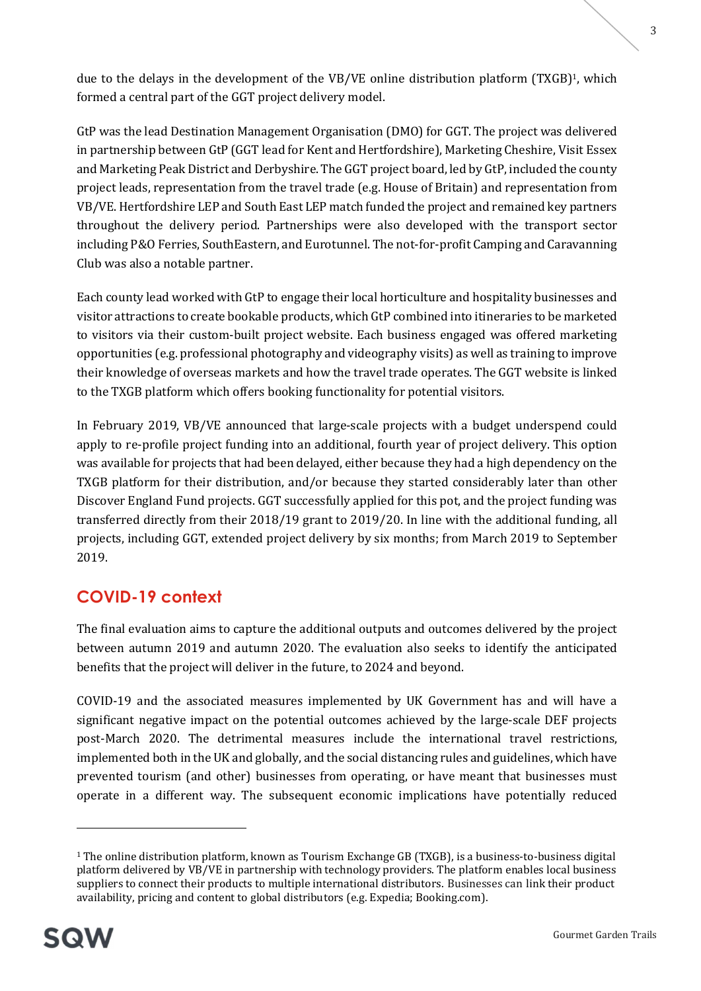due to the delays in the development of the VB/VE online distribution platform (TXGB)1, which formed a central part of the GGT project delivery model.

GtP was the lead Destination Management Organisation (DMO) for GGT. The project was delivered in partnership between GtP (GGT lead for Kent and Hertfordshire), Marketing Cheshire, Visit Essex and Marketing Peak District and Derbyshire. The GGT project board, led by GtP, included the county project leads, representation from the travel trade (e.g. House of Britain) and representation from VB/VE. Hertfordshire LEP and South East LEP match funded the project and remained key partners throughout the delivery period. Partnerships were also developed with the transport sector including P&O Ferries, SouthEastern, and Eurotunnel. The not-for-profit Camping and Caravanning Club was also a notable partner.

Each county lead worked with GtP to engage their local horticulture and hospitality businesses and visitor attractions to create bookable products, which GtP combined into itineraries to be marketed to visitors via their custom-built project website. Each business engaged was offered marketing opportunities (e.g. professional photography and videography visits) as well as training to improve their knowledge of overseas markets and how the travel trade operates. The GGT website is linked to the TXGB platform which offers booking functionality for potential visitors.

In February 2019, VB/VE announced that large-scale projects with a budget underspend could apply to re-profile project funding into an additional, fourth year of project delivery. This option was available for projects that had been delayed, either because they had a high dependency on the TXGB platform for their distribution, and/or because they started considerably later than other Discover England Fund projects. GGT successfully applied for this pot, and the project funding was transferred directly from their 2018/19 grant to 2019/20. In line with the additional funding, all projects, including GGT, extended project delivery by six months; from March 2019 to September 2019.

## COVID-19 context

The final evaluation aims to capture the additional outputs and outcomes delivered by the project between autumn 2019 and autumn 2020. The evaluation also seeks to identify the anticipated benefits that the project will deliver in the future, to 2024 and beyond.

COVID-19 and the associated measures implemented by UK Government has and will have a significant negative impact on the potential outcomes achieved by the large-scale DEF projects post-March 2020. The detrimental measures include the international travel restrictions, implemented both in the UK and globally, and the social distancing rules and guidelines, which have prevented tourism (and other) businesses from operating, or have meant that businesses must operate in a different way. The subsequent economic implications have potentially reduced

<sup>&</sup>lt;sup>1</sup> The online distribution platform, known as Tourism Exchange GB (TXGB), is a business-to-business digital platform delivered by VB/VE in partnership with technology providers. The platform enables local business suppliers to connect their products to multiple international distributors. Businesses can link their product availability, pricing and content to global distributors (e.g. Expedia; Booking.com).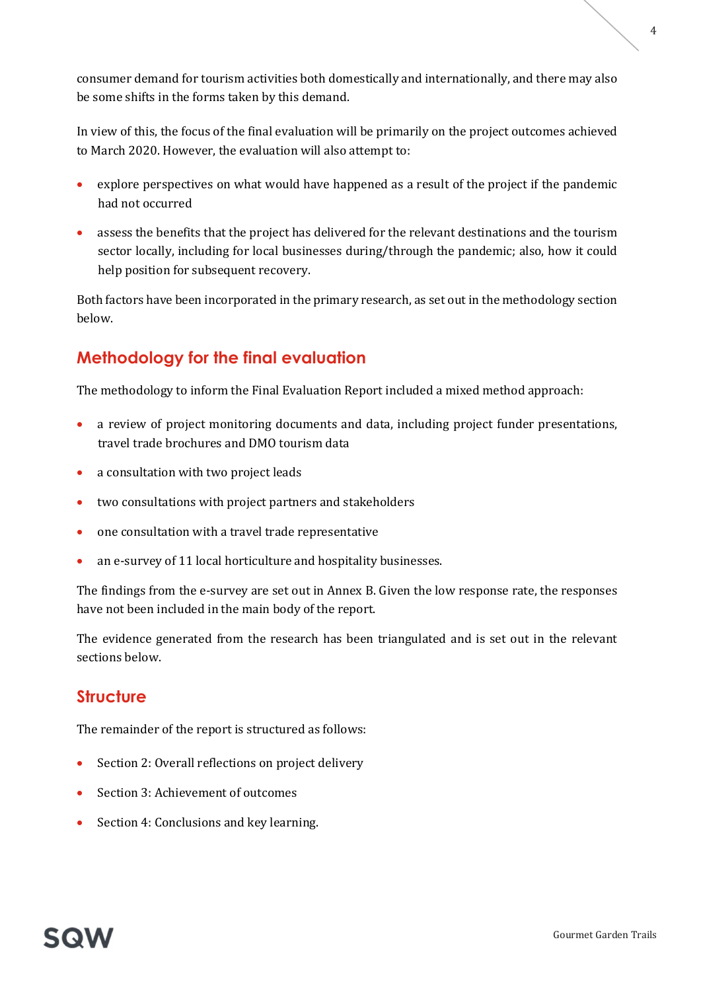consumer demand for tourism activities both domestically and internationally, and there may also be some shifts in the forms taken by this demand.

In view of this, the focus of the final evaluation will be primarily on the project outcomes achieved to March 2020. However, the evaluation will also attempt to:

- explore perspectives on what would have happened as a result of the project if the pandemic had not occurred
- assess the benefits that the project has delivered for the relevant destinations and the tourism sector locally, including for local businesses during/through the pandemic; also, how it could help position for subsequent recovery.

Both factors have been incorporated in the primary research, as set out in the methodology section below.

## Methodology for the final evaluation

The methodology to inform the Final Evaluation Report included a mixed method approach:

- a review of project monitoring documents and data, including project funder presentations, travel trade brochures and DMO tourism data
- a consultation with two project leads
- two consultations with project partners and stakeholders
- one consultation with a travel trade representative
- an e-survey of 11 local horticulture and hospitality businesses.

The findings from the e-survey are set out in Annex B. Given the low response rate, the responses have not been included in the main body of the report.

The evidence generated from the research has been triangulated and is set out in the relevant sections below.

## **Structure**

The remainder of the report is structured as follows:

- Section 2: Overall reflections on project delivery
- Section 3: Achievement of outcomes
- Section 4: Conclusions and key learning.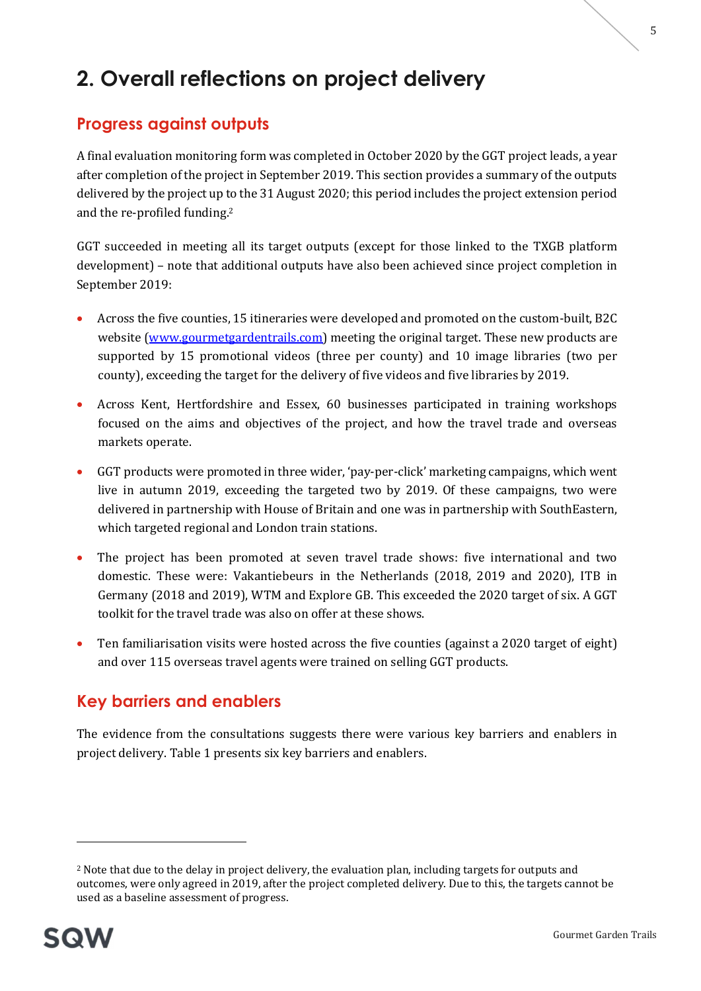## 2. Overall reflections on project delivery

## Progress against outputs

A final evaluation monitoring form was completed in October 2020 by the GGT project leads, a year after completion of the project in September 2019. This section provides a summary of the outputs delivered by the project up to the 31 August 2020; this period includes the project extension period and the re-profiled funding.<sup>2</sup>

GGT succeeded in meeting all its target outputs (except for those linked to the TXGB platform development) – note that additional outputs have also been achieved since project completion in September 2019:

- Across the five counties, 15 itineraries were developed and promoted on the custom-built, B2C website (www.gourmetgardentrails.com) meeting the original target. These new products are supported by 15 promotional videos (three per county) and 10 image libraries (two per county), exceeding the target for the delivery of five videos and five libraries by 2019.
- Across Kent, Hertfordshire and Essex, 60 businesses participated in training workshops focused on the aims and objectives of the project, and how the travel trade and overseas markets operate.
- GGT products were promoted in three wider, 'pay-per-click' marketing campaigns, which went live in autumn 2019, exceeding the targeted two by 2019. Of these campaigns, two were delivered in partnership with House of Britain and one was in partnership with SouthEastern, which targeted regional and London train stations.
- The project has been promoted at seven travel trade shows: five international and two domestic. These were: Vakantiebeurs in the Netherlands (2018, 2019 and 2020), ITB in Germany (2018 and 2019), WTM and Explore GB. This exceeded the 2020 target of six. A GGT toolkit for the travel trade was also on offer at these shows.
- Ten familiarisation visits were hosted across the five counties (against a 2020 target of eight) and over 115 overseas travel agents were trained on selling GGT products.

## Key barriers and enablers

The evidence from the consultations suggests there were various key barriers and enablers in project delivery. Table 1 presents six key barriers and enablers.

<sup>&</sup>lt;sup>2</sup> Note that due to the delay in project delivery, the evaluation plan, including targets for outputs and outcomes, were only agreed in 2019, after the project completed delivery. Due to this, the targets cannot be used as a baseline assessment of progress.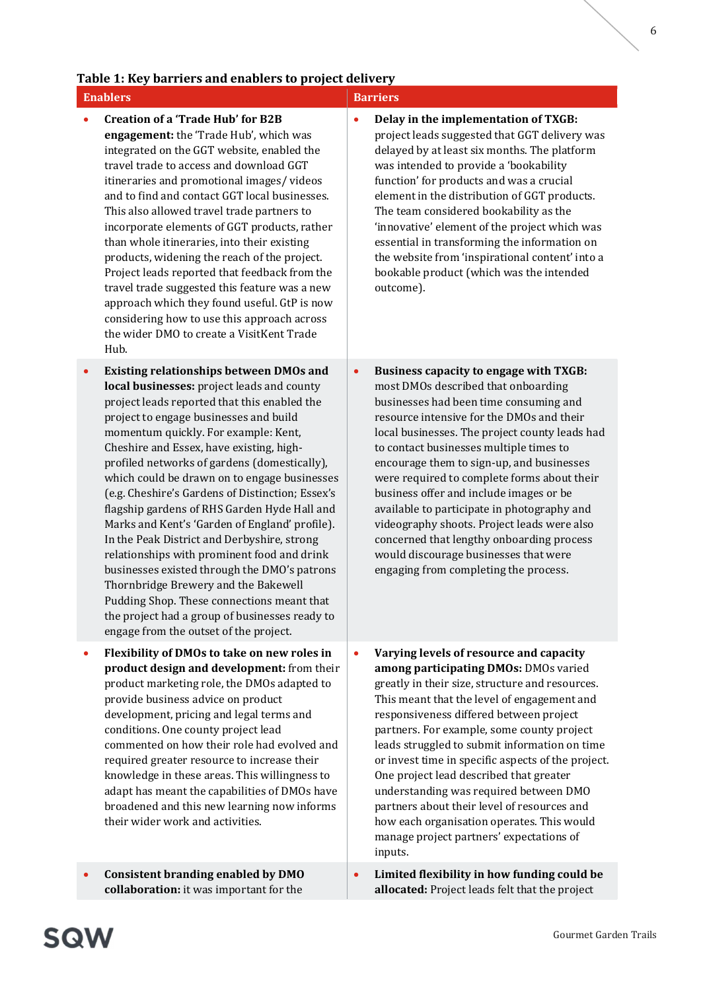### Table 1: Key barriers and enablers to project delivery

### Enablers **Barriers Barriers**

- Creation of a 'Trade Hub' for B2B engagement: the 'Trade Hub', which was integrated on the GGT website, enabled the travel trade to access and download GGT itineraries and promotional images/ videos and to find and contact GGT local businesses. This also allowed travel trade partners to incorporate elements of GGT products, rather than whole itineraries, into their existing products, widening the reach of the project. Project leads reported that feedback from the travel trade suggested this feature was a new approach which they found useful. GtP is now considering how to use this approach across the wider DMO to create a VisitKent Trade Hub.
- Existing relationships between DMOs and local businesses: project leads and county project leads reported that this enabled the project to engage businesses and build momentum quickly. For example: Kent, Cheshire and Essex, have existing, highprofiled networks of gardens (domestically), which could be drawn on to engage businesses (e.g. Cheshire's Gardens of Distinction; Essex's flagship gardens of RHS Garden Hyde Hall and Marks and Kent's 'Garden of England' profile). In the Peak District and Derbyshire, strong relationships with prominent food and drink businesses existed through the DMO's patrons Thornbridge Brewery and the Bakewell Pudding Shop. These connections meant that the project had a group of businesses ready to engage from the outset of the project.
- Flexibility of DMOs to take on new roles in product design and development: from their product marketing role, the DMOs adapted to provide business advice on product development, pricing and legal terms and conditions. One county project lead commented on how their role had evolved and required greater resource to increase their knowledge in these areas. This willingness to adapt has meant the capabilities of DMOs have broadened and this new learning now informs their wider work and activities.

 Consistent branding enabled by DMO collaboration: it was important for the

- Delay in the implementation of TXGB: project leads suggested that GGT delivery was delayed by at least six months. The platform was intended to provide a 'bookability function' for products and was a crucial element in the distribution of GGT products. The team considered bookability as the
	- 'innovative' element of the project which was essential in transforming the information on the website from 'inspirational content' into a bookable product (which was the intended outcome).
- Business capacity to engage with TXGB: most DMOs described that onboarding businesses had been time consuming and resource intensive for the DMOs and their local businesses. The project county leads had to contact businesses multiple times to encourage them to sign-up, and businesses were required to complete forms about their business offer and include images or be available to participate in photography and videography shoots. Project leads were also concerned that lengthy onboarding process would discourage businesses that were engaging from completing the process.
	- Varying levels of resource and capacity among participating DMOs: DMOs varied greatly in their size, structure and resources. This meant that the level of engagement and responsiveness differed between project partners. For example, some county project leads struggled to submit information on time or invest time in specific aspects of the project. One project lead described that greater understanding was required between DMO partners about their level of resources and how each organisation operates. This would manage project partners' expectations of inputs.
- Limited flexibility in how funding could be allocated: Project leads felt that the project

6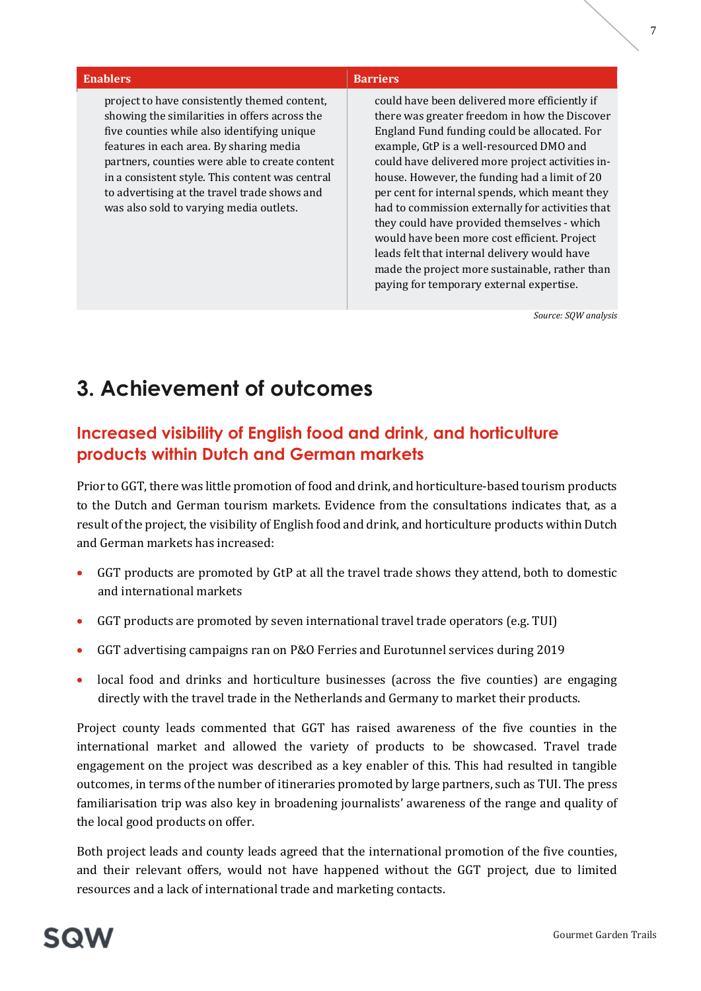### Enablers **Barriers Barriers**

project to have consistently themed content, showing the similarities in offers across the five counties while also identifying unique features in each area. By sharing media partners, counties were able to create content in a consistent style. This content was central to advertising at the travel trade shows and was also sold to varying media outlets.

could have been delivered more efficiently if there was greater freedom in how the Discover England Fund funding could be allocated. For example, GtP is a well-resourced DMO and could have delivered more project activities inhouse. However, the funding had a limit of 20 per cent for internal spends, which meant they had to commission externally for activities that they could have provided themselves - which would have been more cost efficient. Project leads felt that internal delivery would have made the project more sustainable, rather than paying for temporary external expertise.

Source: SQW analysis

## 3. Achievement of outcomes

## Increased visibility of English food and drink, and horticulture products within Dutch and German markets

Prior to GGT, there was little promotion of food and drink, and horticulture-based tourism products to the Dutch and German tourism markets. Evidence from the consultations indicates that, as a result of the project, the visibility of English food and drink, and horticulture products within Dutch and German markets has increased:

- GGT products are promoted by GtP at all the travel trade shows they attend, both to domestic and international markets
- GGT products are promoted by seven international travel trade operators (e.g. TUI)
- GGT advertising campaigns ran on P&O Ferries and Eurotunnel services during 2019
- local food and drinks and horticulture businesses (across the five counties) are engaging directly with the travel trade in the Netherlands and Germany to market their products.

Project county leads commented that GGT has raised awareness of the five counties in the international market and allowed the variety of products to be showcased. Travel trade engagement on the project was described as a key enabler of this. This had resulted in tangible outcomes, in terms of the number of itineraries promoted by large partners, such as TUI. The press familiarisation trip was also key in broadening journalists' awareness of the range and quality of the local good products on offer.

Both project leads and county leads agreed that the international promotion of the five counties, and their relevant offers, would not have happened without the GGT project, due to limited resources and a lack of international trade and marketing contacts.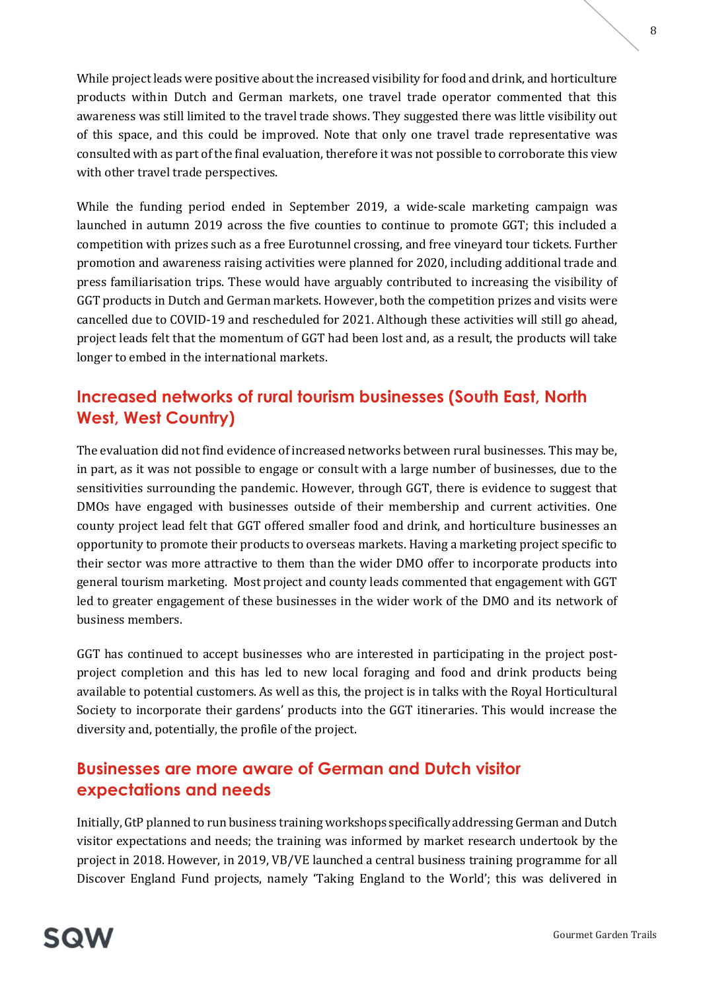While project leads were positive about the increased visibility for food and drink, and horticulture products within Dutch and German markets, one travel trade operator commented that this awareness was still limited to the travel trade shows. They suggested there was little visibility out of this space, and this could be improved. Note that only one travel trade representative was consulted with as part of the final evaluation, therefore it was not possible to corroborate this view with other travel trade perspectives.

While the funding period ended in September 2019, a wide-scale marketing campaign was launched in autumn 2019 across the five counties to continue to promote GGT; this included a competition with prizes such as a free Eurotunnel crossing, and free vineyard tour tickets. Further promotion and awareness raising activities were planned for 2020, including additional trade and press familiarisation trips. These would have arguably contributed to increasing the visibility of GGT products in Dutch and German markets. However, both the competition prizes and visits were cancelled due to COVID-19 and rescheduled for 2021. Although these activities will still go ahead, project leads felt that the momentum of GGT had been lost and, as a result, the products will take longer to embed in the international markets.

## Increased networks of rural tourism businesses (South East, North West, West Country)

The evaluation did not find evidence of increased networks between rural businesses. This may be, in part, as it was not possible to engage or consult with a large number of businesses, due to the sensitivities surrounding the pandemic. However, through GGT, there is evidence to suggest that DMOs have engaged with businesses outside of their membership and current activities. One county project lead felt that GGT offered smaller food and drink, and horticulture businesses an opportunity to promote their products to overseas markets. Having a marketing project specific to their sector was more attractive to them than the wider DMO offer to incorporate products into general tourism marketing. Most project and county leads commented that engagement with GGT led to greater engagement of these businesses in the wider work of the DMO and its network of business members.

GGT has continued to accept businesses who are interested in participating in the project postproject completion and this has led to new local foraging and food and drink products being available to potential customers. As well as this, the project is in talks with the Royal Horticultural Society to incorporate their gardens' products into the GGT itineraries. This would increase the diversity and, potentially, the profile of the project.

## Businesses are more aware of German and Dutch visitor expectations and needs

Initially, GtP planned to run business training workshops specifically addressing German and Dutch visitor expectations and needs; the training was informed by market research undertook by the project in 2018. However, in 2019, VB/VE launched a central business training programme for all Discover England Fund projects, namely 'Taking England to the World'; this was delivered in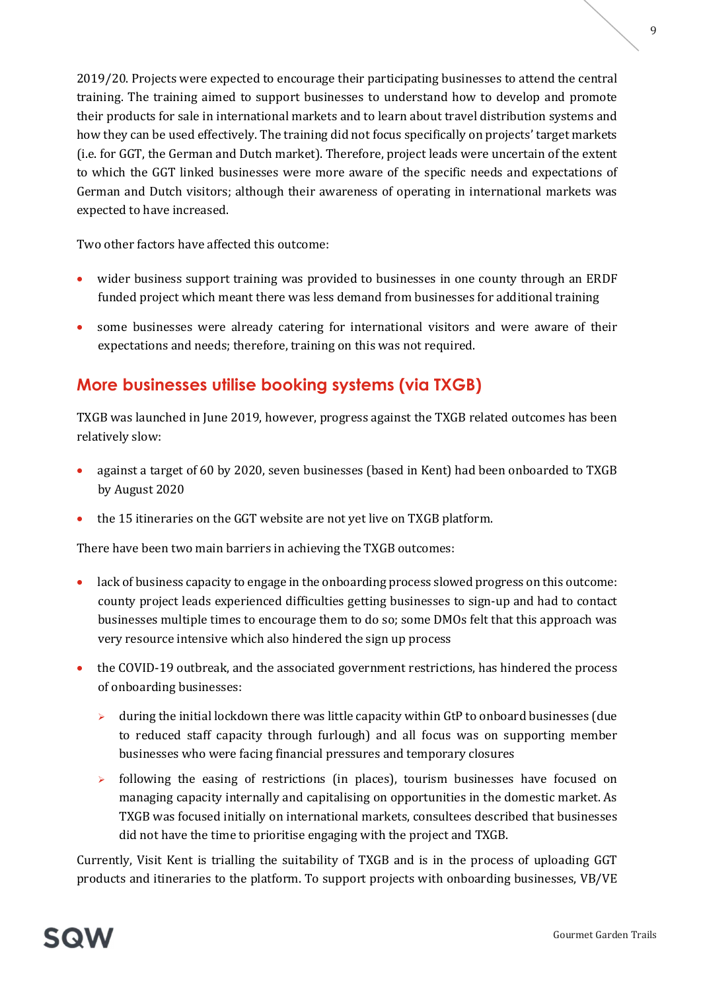2019/20. Projects were expected to encourage their participating businesses to attend the central training. The training aimed to support businesses to understand how to develop and promote their products for sale in international markets and to learn about travel distribution systems and how they can be used effectively. The training did not focus specifically on projects' target markets (i.e. for GGT, the German and Dutch market). Therefore, project leads were uncertain of the extent to which the GGT linked businesses were more aware of the specific needs and expectations of German and Dutch visitors; although their awareness of operating in international markets was expected to have increased.

Two other factors have affected this outcome:

- wider business support training was provided to businesses in one county through an ERDF funded project which meant there was less demand from businesses for additional training
- some businesses were already catering for international visitors and were aware of their expectations and needs; therefore, training on this was not required.

## More businesses utilise booking systems (via TXGB)

TXGB was launched in June 2019, however, progress against the TXGB related outcomes has been relatively slow:

- against a target of 60 by 2020, seven businesses (based in Kent) had been onboarded to TXGB by August 2020
- the 15 itineraries on the GGT website are not yet live on TXGB platform.

There have been two main barriers in achieving the TXGB outcomes:

- lack of business capacity to engage in the onboarding process slowed progress on this outcome: county project leads experienced difficulties getting businesses to sign-up and had to contact businesses multiple times to encourage them to do so; some DMOs felt that this approach was very resource intensive which also hindered the sign up process
- the COVID-19 outbreak, and the associated government restrictions, has hindered the process of onboarding businesses:
	- $\triangleright$  during the initial lockdown there was little capacity within GtP to onboard businesses (due to reduced staff capacity through furlough) and all focus was on supporting member businesses who were facing financial pressures and temporary closures
	- $\triangleright$  following the easing of restrictions (in places), tourism businesses have focused on managing capacity internally and capitalising on opportunities in the domestic market. As TXGB was focused initially on international markets, consultees described that businesses did not have the time to prioritise engaging with the project and TXGB.

Currently, Visit Kent is trialling the suitability of TXGB and is in the process of uploading GGT products and itineraries to the platform. To support projects with onboarding businesses, VB/VE

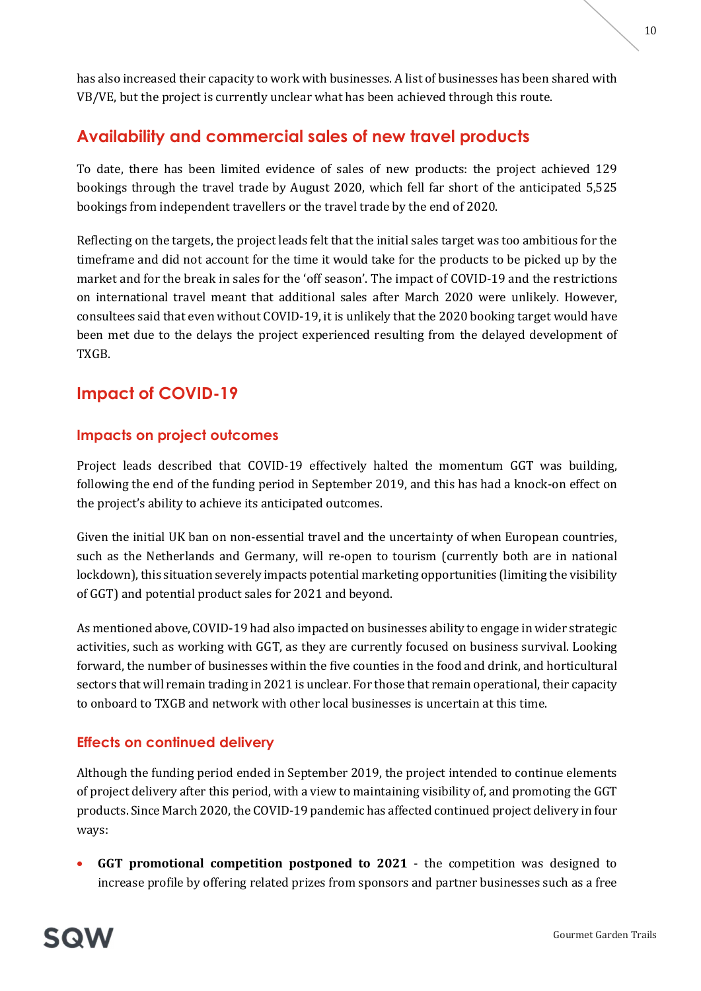has also increased their capacity to work with businesses. A list of businesses has been shared with VB/VE, but the project is currently unclear what has been achieved through this route.

## Availability and commercial sales of new travel products

To date, there has been limited evidence of sales of new products: the project achieved 129 bookings through the travel trade by August 2020, which fell far short of the anticipated 5,525 bookings from independent travellers or the travel trade by the end of 2020.

Reflecting on the targets, the project leads felt that the initial sales target was too ambitious for the timeframe and did not account for the time it would take for the products to be picked up by the market and for the break in sales for the 'off season'. The impact of COVID-19 and the restrictions on international travel meant that additional sales after March 2020 were unlikely. However, consultees said that even without COVID-19, it is unlikely that the 2020 booking target would have been met due to the delays the project experienced resulting from the delayed development of TXGB.

## Impact of COVID-19

## Impacts on project outcomes

Project leads described that COVID-19 effectively halted the momentum GGT was building, following the end of the funding period in September 2019, and this has had a knock-on effect on the project's ability to achieve its anticipated outcomes.

Given the initial UK ban on non-essential travel and the uncertainty of when European countries, such as the Netherlands and Germany, will re-open to tourism (currently both are in national lockdown), this situation severely impacts potential marketing opportunities (limiting the visibility of GGT) and potential product sales for 2021 and beyond.

As mentioned above, COVID-19 had also impacted on businesses ability to engage in wider strategic activities, such as working with GGT, as they are currently focused on business survival. Looking forward, the number of businesses within the five counties in the food and drink, and horticultural sectors that will remain trading in 2021 is unclear. For those that remain operational, their capacity to onboard to TXGB and network with other local businesses is uncertain at this time.

## Effects on continued delivery

Although the funding period ended in September 2019, the project intended to continue elements of project delivery after this period, with a view to maintaining visibility of, and promoting the GGT products. Since March 2020, the COVID-19 pandemic has affected continued project delivery in four ways:

 GGT promotional competition postponed to 2021 - the competition was designed to increase profile by offering related prizes from sponsors and partner businesses such as a free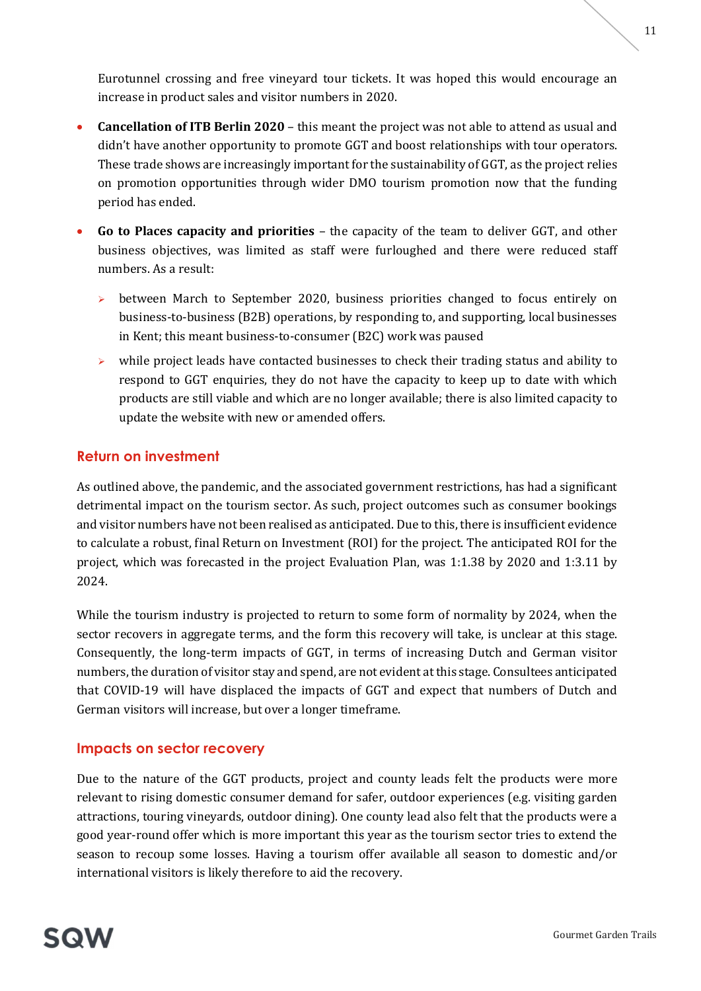Eurotunnel crossing and free vineyard tour tickets. It was hoped this would encourage an increase in product sales and visitor numbers in 2020.

- Cancellation of ITB Berlin 2020 this meant the project was not able to attend as usual and didn't have another opportunity to promote GGT and boost relationships with tour operators. These trade shows are increasingly important for the sustainability of GGT, as the project relies on promotion opportunities through wider DMO tourism promotion now that the funding period has ended.
- Go to Places capacity and priorities the capacity of the team to deliver GGT, and other business objectives, was limited as staff were furloughed and there were reduced staff numbers. As a result:
	- $\triangleright$  between March to September 2020, business priorities changed to focus entirely on business-to-business (B2B) operations, by responding to, and supporting, local businesses in Kent; this meant business-to-consumer (B2C) work was paused
	- $\triangleright$  while project leads have contacted businesses to check their trading status and ability to respond to GGT enquiries, they do not have the capacity to keep up to date with which products are still viable and which are no longer available; there is also limited capacity to update the website with new or amended offers.

## Return on investment

As outlined above, the pandemic, and the associated government restrictions, has had a significant detrimental impact on the tourism sector. As such, project outcomes such as consumer bookings and visitor numbers have not been realised as anticipated. Due to this, there is insufficient evidence to calculate a robust, final Return on Investment (ROI) for the project. The anticipated ROI for the project, which was forecasted in the project Evaluation Plan, was 1:1.38 by 2020 and 1:3.11 by 2024.

While the tourism industry is projected to return to some form of normality by 2024, when the sector recovers in aggregate terms, and the form this recovery will take, is unclear at this stage. Consequently, the long-term impacts of GGT, in terms of increasing Dutch and German visitor numbers, the duration of visitor stay and spend, are not evident at this stage. Consultees anticipated that COVID-19 will have displaced the impacts of GGT and expect that numbers of Dutch and German visitors will increase, but over a longer timeframe.

## Impacts on sector recovery

Due to the nature of the GGT products, project and county leads felt the products were more relevant to rising domestic consumer demand for safer, outdoor experiences (e.g. visiting garden attractions, touring vineyards, outdoor dining). One county lead also felt that the products were a good year-round offer which is more important this year as the tourism sector tries to extend the season to recoup some losses. Having a tourism offer available all season to domestic and/or international visitors is likely therefore to aid the recovery.

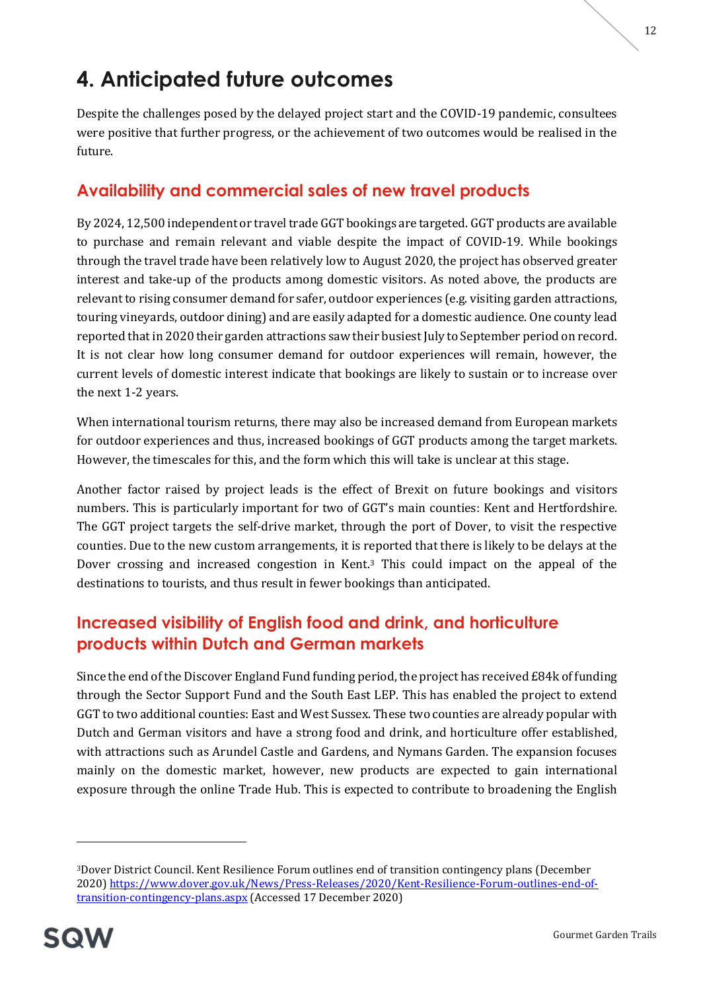# 4. Anticipated future outcomes

Despite the challenges posed by the delayed project start and the COVID-19 pandemic, consultees were positive that further progress, or the achievement of two outcomes would be realised in the future.

## Availability and commercial sales of new travel products

By 2024, 12,500 independent or travel trade GGT bookings are targeted. GGT products are available to purchase and remain relevant and viable despite the impact of COVID-19. While bookings through the travel trade have been relatively low to August 2020, the project has observed greater interest and take-up of the products among domestic visitors. As noted above, the products are relevant to rising consumer demand for safer, outdoor experiences (e.g. visiting garden attractions, touring vineyards, outdoor dining) and are easily adapted for a domestic audience. One county lead reported that in 2020 their garden attractions saw their busiest July to September period on record. It is not clear how long consumer demand for outdoor experiences will remain, however, the current levels of domestic interest indicate that bookings are likely to sustain or to increase over the next 1-2 years.

When international tourism returns, there may also be increased demand from European markets for outdoor experiences and thus, increased bookings of GGT products among the target markets. However, the timescales for this, and the form which this will take is unclear at this stage.

Another factor raised by project leads is the effect of Brexit on future bookings and visitors numbers. This is particularly important for two of GGT's main counties: Kent and Hertfordshire. The GGT project targets the self-drive market, through the port of Dover, to visit the respective counties. Due to the new custom arrangements, it is reported that there is likely to be delays at the Dover crossing and increased congestion in Kent.3 This could impact on the appeal of the destinations to tourists, and thus result in fewer bookings than anticipated.

## Increased visibility of English food and drink, and horticulture products within Dutch and German markets

Since the end of the Discover England Fund funding period, the project has received £84k of funding through the Sector Support Fund and the South East LEP. This has enabled the project to extend GGT to two additional counties: East and West Sussex. These two counties are already popular with Dutch and German visitors and have a strong food and drink, and horticulture offer established, with attractions such as Arundel Castle and Gardens, and Nymans Garden. The expansion focuses mainly on the domestic market, however, new products are expected to gain international exposure through the online Trade Hub. This is expected to contribute to broadening the English

<sup>3</sup>Dover District Council. Kent Resilience Forum outlines end of transition contingency plans (December 2020) https://www.dover.gov.uk/News/Press-Releases/2020/Kent-Resilience-Forum-outlines-end-oftransition-contingency-plans.aspx (Accessed 17 December 2020)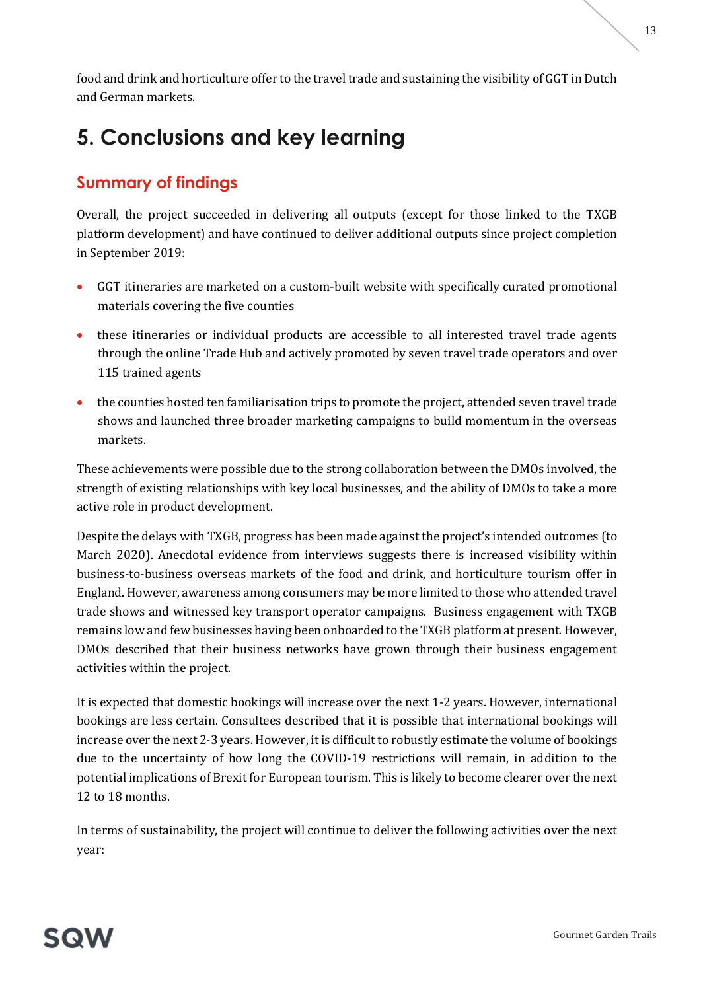England. However, awareness among consumers may be more limited to those who attended travel trade shows and witnessed key transport operator campaigns. Business engagement with TXGB remains low and few businesses having been onboarded to the TXGB platform at present. However, DMOs described that their business networks have grown through their business engagement activities within the project.

It is expected that domestic bookings will increase over the next 1-2 years. However, international bookings are less certain. Consultees described that it is possible that international bookings will increase over the next 2-3 years. However, it is difficult to robustly estimate the volume of bookings due to the uncertainty of how long the COVID-19 restrictions will remain, in addition to the potential implications of Brexit for European tourism. This is likely to become clearer over the next 12 to 18 months.

In terms of sustainability, the project will continue to deliver the following activities over the next year:

### food and drink and horticulture offer to the travel trade and sustaining the visibility of GGT in Dutch and German markets.

# 5. Conclusions and key learning

## Summary of findings

Overall, the project succeeded in delivering all outputs (except for those linked to the TXGB platform development) and have continued to deliver additional outputs since project completion in September 2019:

- GGT itineraries are marketed on a custom-built website with specifically curated promotional materials covering the five counties
- these itineraries or individual products are accessible to all interested travel trade agents through the online Trade Hub and actively promoted by seven travel trade operators and over 115 trained agents
- the counties hosted ten familiarisation trips to promote the project, attended seven travel trade shows and launched three broader marketing campaigns to build momentum in the overseas markets.

These achievements were possible due to the strong collaboration between the DMOs involved, the strength of existing relationships with key local businesses, and the ability of DMOs to take a more active role in product development.

Despite the delays with TXGB, progress has been made against the project's intended outcomes (to March 2020). Anecdotal evidence from interviews suggests there is increased visibility within business-to-business overseas markets of the food and drink, and horticulture tourism offer in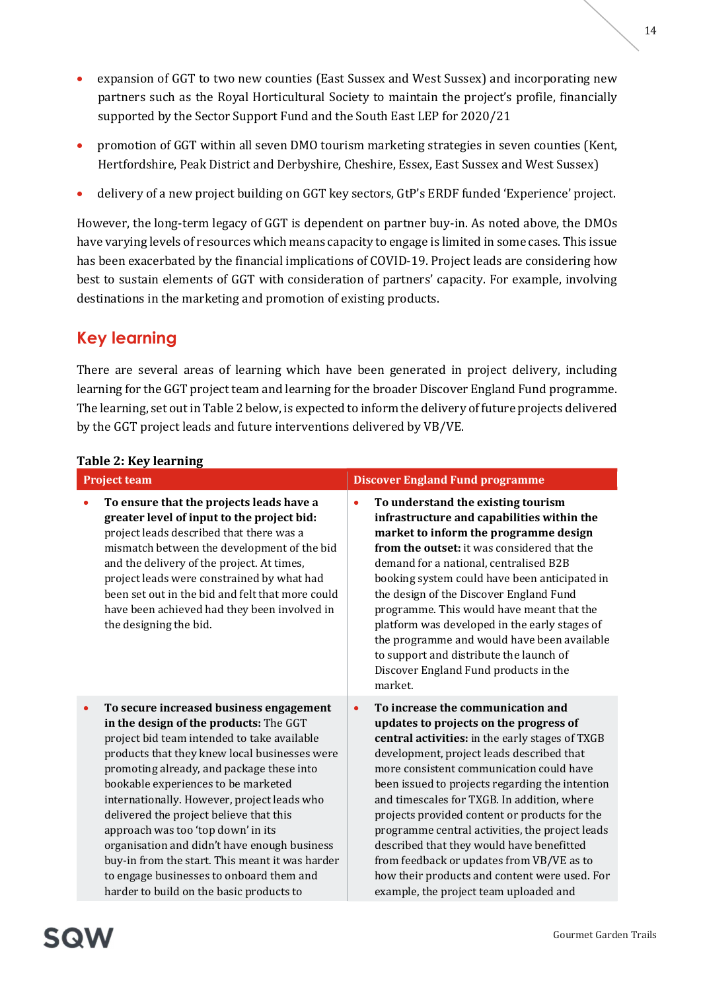- expansion of GGT to two new counties (East Sussex and West Sussex) and incorporating new partners such as the Royal Horticultural Society to maintain the project's profile, financially supported by the Sector Support Fund and the South East LEP for 2020/21
- promotion of GGT within all seven DMO tourism marketing strategies in seven counties (Kent, Hertfordshire, Peak District and Derbyshire, Cheshire, Essex, East Sussex and West Sussex)
- delivery of a new project building on GGT key sectors, GtP's ERDF funded 'Experience' project.

However, the long-term legacy of GGT is dependent on partner buy-in. As noted above, the DMOs have varying levels of resources which means capacity to engage is limited in some cases. This issue has been exacerbated by the financial implications of COVID-19. Project leads are considering how best to sustain elements of GGT with consideration of partners' capacity. For example, involving destinations in the marketing and promotion of existing products.

## Key learning

There are several areas of learning which have been generated in project delivery, including learning for the GGT project team and learning for the broader Discover England Fund programme. The learning, set out in Table 2 below, is expected to inform the delivery of future projects delivered by the GGT project leads and future interventions delivered by VB/VE.

## Table 2: Key learning

| <b>Project team</b> |                                                                                                                                                                                                                                                                                                                                                                                                                                                                                                                                                                                                  |           | <b>Discover England Fund programme</b>                                                                                                                                                                                                                                                                                                                                                                                                                                                                                                                                                                             |  |  |
|---------------------|--------------------------------------------------------------------------------------------------------------------------------------------------------------------------------------------------------------------------------------------------------------------------------------------------------------------------------------------------------------------------------------------------------------------------------------------------------------------------------------------------------------------------------------------------------------------------------------------------|-----------|--------------------------------------------------------------------------------------------------------------------------------------------------------------------------------------------------------------------------------------------------------------------------------------------------------------------------------------------------------------------------------------------------------------------------------------------------------------------------------------------------------------------------------------------------------------------------------------------------------------------|--|--|
| ۰                   | To ensure that the projects leads have a<br>greater level of input to the project bid:<br>project leads described that there was a<br>mismatch between the development of the bid<br>and the delivery of the project. At times,<br>project leads were constrained by what had<br>been set out in the bid and felt that more could<br>have been achieved had they been involved in<br>the designing the bid.                                                                                                                                                                                      | $\bullet$ | To understand the existing tourism<br>infrastructure and capabilities within the<br>market to inform the programme design<br>from the outset: it was considered that the<br>demand for a national, centralised B2B<br>booking system could have been anticipated in<br>the design of the Discover England Fund<br>programme. This would have meant that the<br>platform was developed in the early stages of<br>the programme and would have been available<br>to support and distribute the launch of<br>Discover England Fund products in the<br>market.                                                         |  |  |
| $\bullet$           | To secure increased business engagement<br>in the design of the products: The GGT<br>project bid team intended to take available<br>products that they knew local businesses were<br>promoting already, and package these into<br>bookable experiences to be marketed<br>internationally. However, project leads who<br>delivered the project believe that this<br>approach was too 'top down' in its<br>organisation and didn't have enough business<br>buy-in from the start. This meant it was harder<br>to engage businesses to onboard them and<br>harder to build on the basic products to | $\bullet$ | To increase the communication and<br>updates to projects on the progress of<br>central activities: in the early stages of TXGB<br>development, project leads described that<br>more consistent communication could have<br>been issued to projects regarding the intention<br>and timescales for TXGB. In addition, where<br>projects provided content or products for the<br>programme central activities, the project leads<br>described that they would have benefitted<br>from feedback or updates from VB/VE as to<br>how their products and content were used. For<br>example, the project team uploaded and |  |  |

SQW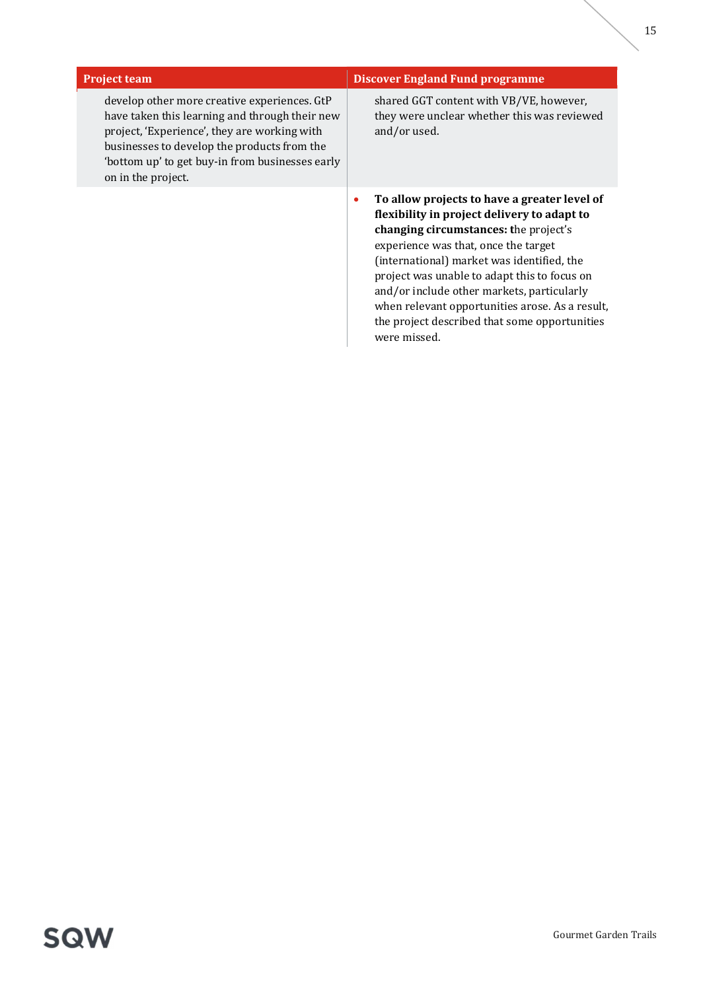| <b>Project team</b>                                                                                                                                                                                                                                                    | <b>Discover England Fund programme</b>                                                                                                                                                                                                                                                                                                                                                                                                                    |  |  |
|------------------------------------------------------------------------------------------------------------------------------------------------------------------------------------------------------------------------------------------------------------------------|-----------------------------------------------------------------------------------------------------------------------------------------------------------------------------------------------------------------------------------------------------------------------------------------------------------------------------------------------------------------------------------------------------------------------------------------------------------|--|--|
| develop other more creative experiences. GtP<br>have taken this learning and through their new<br>project, 'Experience', they are working with<br>businesses to develop the products from the<br>'bottom up' to get buy-in from businesses early<br>on in the project. | shared GGT content with VB/VE, however,<br>they were unclear whether this was reviewed<br>and/or used.                                                                                                                                                                                                                                                                                                                                                    |  |  |
|                                                                                                                                                                                                                                                                        | To allow projects to have a greater level of<br>$\bullet$<br>flexibility in project delivery to adapt to<br>changing circumstances: the project's<br>experience was that, once the target<br>(international) market was identified, the<br>project was unable to adapt this to focus on<br>and/or include other markets, particularly<br>when relevant opportunities arose. As a result,<br>the project described that some opportunities<br>were missed. |  |  |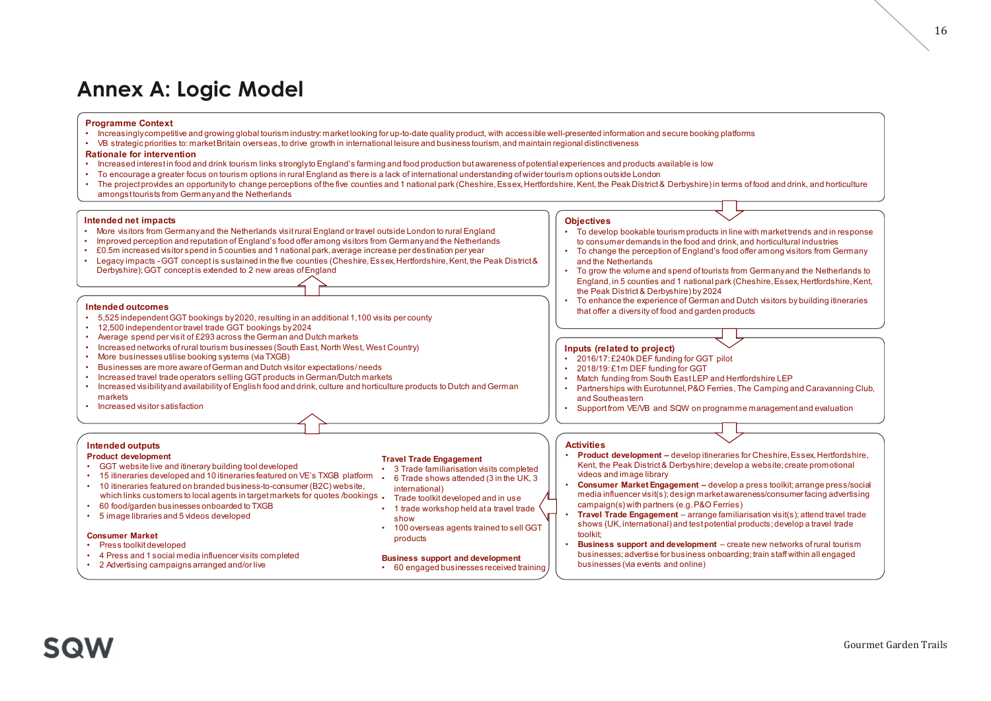## Annex A: Logic Model

### Programme Context

- 
- 

- Rationale for intervention<br>• Increased interest in food and drink tourism links stronglyto England's farming and food production but awareness of potential experiences and products available is low
- 
- **Annex A: Logic Model**<br>
Programme Context<br>
 Moreasingly competitive and growing global tourism industry; market looking for up-to-date quality product, with accessible well-presented information and secure booking platfor **Armex A: Logic Model**<br>• Programme Context<br>• Mocessingly competitive and growing global tourism industry: market looking for up-to-date quality product, with accessible well-presented information and secure booking platfor • Increased interest in food and drink tourism interest interest interest control and strongly competitive and gradient and the strongly competitive and gradient product with a consistence interest information and secure • To encourage a greater focus on tourism contact the research of the secure internation and secure booking platforms<br>
• More thanks the membership of the secure of the state of the control of the membership of the state • **Programme Context**<br>• Incosainty corresponding provides an opportunity to change provides and the projection of the provides and the provides and the provides and the first provides and the first provides and the first amongst tourists from Germany and the Netherlands **Armex A: Logic Model**<br>
Programme Context<br>
• Increasinglycompetitive and growing global tourism industry, market looking for up-to-date quality product, with accessible well-presented<br>
• We strategic prointed and think to • **Improved perception and reputation of England's food offer among visitors from Germany and reputation of England's for the China of China and reputation of England's formulation of England's formulation of England's for Arrives and the counties and instantial park of the counter of the counter of the counter of the counter of the state of the counter of the state of the state of the state of the state of the counter of the counter of the** • Legacy impacts - Legacy impacts - Concept is sustained in the counties (Cheshire, Essex, Hertfordshire, Kent, the Peak District and the firstname counter that the firstname counter that the firstname counter the firstna **Frogramme Context**<br>
• Frecesiality correlation of the context interaction of distribution of the state of problem and the state of the state of the state of the state of the state of the state of the state of the state o **Frogramma Context**<br>
• Increased visibility and growing global tourism industry market looking for up-to-date quality product, with accessible well-prosented information of the transformation of the transformation of the and food production but are and the Peak District and products and products and interests and interests and interests and interests are performation burst Engage and The Peak District Associate the Peak District Associate lactor (international understanding of Wider toutinn options culture in Evaluation (internation and Trade Euro<br>
Unider to the Peak District States in the with marking and the Number of Chenge of the States In the Chenge

- Intended net impacts<br>• More visitors from Germanyand the Netherlands visit rural England or travel outside London to rural England
- 
- 
- Derbyshire); GGT concept is extended to 2 new areas of England **Frogramme Context**<br>• Noresingly<br>competitive and growing global lourism industry market looking for up-to-date quality product, with a<br>conde for intervention or travel Britain overseas, bottine growth in international leis **Armex 4: Logic Model**<br> **Programme Context**<br>
• Increasingly competitive and growing global but is minitediatry market looking for up-0-date quality product, with accessible<br>
• More at also proportion food and drink but is **Fronties of Constrainers**<br>• Increased wincompactive and growing plots location of respectively, mathematically provide the respectively. With accessible respectively in the state of reference of respectively. The state of **Example Constrained Constrained Systems (Constrained System System System System System System System System System System System System System System System System System System System System System System System System Frogramme Context**<br>
• **Locycle Model**<br>
• Recessingly competitive and growing global sturisminidustry market looking for up-b-date quality product, with accessite well :<br>
• Restates plury competitive to market Britain ov **•• Increased visitor selling GGT products including CGT products in German Dutch marketics in German Context<br>
•• Increased increase to the product of the stational effection of the stational effection of the formula mark Programme Context**<br>
• Increasingly<br>competitive and growing global tourism industry, market looking for up-to-date quality product<br>
• IS strategic priorities to: market Britain overseas, to drive growth in international le • Increased interestin footand drink tourism links strongly be Figure and foota production but awarened that the transmitter of the production but all the methods of the figure of the production build Engine and the stre • To encourage a greater focus to noutrino priori in collecting that are the solid and that of the fourth of the SU interaries in the property of the SU interaries and 10 itinerary and the Netherlands visitrural England or • The project provides an opportunity ob change perceptions of the five countes and 1 national park (Chesh<br>
• monogatourists for Germanyand the Netherlands<br>
• More visitors for Germanyand the Netherlands<br>
• More visitors **htended one through startern and the exist one of the control of the control of the control of England of two louiside London brural England<br>
More vsitions from Germanyand the Neherlands visiturial England or travel loui ntended net impacts<br>
More sitens from Germanyand the Netherlands visit tural England or travel contiete Lamp<br>
improved perception and reputation of England's tood offer among visitors form Germanyand the Netherlands<br>
Engl** Findred perception and rejeutation of England's food offer among vistics from Germanyand the Nethering and the Nethering of Conseption and the Nethering Chesnic Legacy impacts - Legacy impacts - Legacy impacts and the fo EC.5m interested visits for periodic for south the South of South and 1 national park, average increase per feeds in the University Press and The University (SGT concept) is extended to 2 new areas of England<br>
Internet d Legacy impacts - GGT conceptis extatianed in the five countes (Cheshire, Essex, Herifordshire, Kent, the legacy impacts - GGT conceptising the and are ware as of England<br>
Internal conceptions are associated by 2022. result

- Intended outcomes<br>• 5.525 independent GGT bookings by 2020 resulting in an additional 1.100 visits per county
- 
- 
- 
- 
- 
- 
- 
- markets<br>Increased visitor satisfaction

### Intended outputs

- Product development
- 
- 
- which links customers to local agents in target markets for quotes /bookings . Trade toolkit developed and in use
- 
- 

## **Consumer Market**<br>• Press toolkit developed

- 
- 
- 

### Travel Trade Engagement

- 
- 
- international)
- 
- 
- 

### Business support and development

- Objectives<br>• To develop bookable tourism products in line with market trends and in response to consumer demands in the food and drink, and horticultural industries<br>To change the perception of England's food offer among visitors from Germany
- and the Netherlands
- Fresented information and secure booking platforms<br>
speciences and products available is low<br>
methods cubstic London<br>
methods cubstical Condon<br>
Fig. Kertl, the Peak District & Derbyshire) in terms of food and drink, and ho Fresented information and secure booking platforms<br>
speciences and products available is low<br>
metroplions outside London<br>
metroplions outside london<br>
metroplions outside to change the perception of England's form Germany<br> Free presented information and secure booking platforms<br>
the volume and products available is low<br>
moptions outside Lordon<br>
The volume of total and the Peak District & Derbyshire) in terms of food and drink, and horticultu England, in 5 counties and 1 national park (Cheshire, Essex, Hertfordshire, Kent, sented information and secure booking platforms<br>transpare and products available is low<br>philons outside London<br>Scentist & Derbyshire) in terms of food and drink, and horticulture<br>plectives<br>decree bookside leurism products Freesented information and secure booking platforms<br>
speriences and products available is low<br>
im options outside London<br>
implicance, Kent, the Peak District & Derbyshire) in terms of food and drink, and horticulture<br>
Colo Free and produces and produces and produces and produces and produces and produces and produces and produces and produces and produces and produces and produces are more in the Peak District & Dertyshire) in terms of food presented information and secure booking platforms<br>
• werefiences and products available is low<br>
• moptions outside London<br>
• moptions outside London<br>
• The Kent, the Peak District & Derbyshire) in terms of food and drink, From South and Secure booking platforms<br>
the methods and products available is low<br>
im criticis and products available is low<br>
implies to substitute Derbyshire) in terms of food and drink, and horitouture<br>
To develop booka presented information and secure booking platforms<br>
sponiences and products available is low<br>
meptions autside London<br>
ine, Kent, the Peak District & Derbyshire) in terms of food and drink, and horiculture<br>  $\Gamma$ , To develo presented information and secure booking platforms<br>
operiences and products available is low<br>
in cphons outside London<br>
in proforms outside London<br>
The result of the many of the search burstine products in line with market **Objectives**<br>• To develop bookable bursins products in line with markettends and intesponse<br>to consumer demands in the lood and drink, and horicultural industries<br>and the Nethelands<br>and the Nethelands<br>and the Nethelands<br>fo to consumer demands in the food and drink, and hoticultural industries<br>
To change the perception of England is food offer among visitors from Germany<br>
and the Netherlands<br>
To grow the volume and spend of busines from Germa
- that offer a diversity of food and garden products

### Inputs (related to project)

- 
- 
- 
- and Southeastern
- 

### **Activities**

- Product development develop itineraries for Cheshire, Essex, Hertfordshire, Kent, the Peak District & Derbyshire; develop a website; create promotional videos and image library
- Consumer Market Engagement develop a press toolkit; arrange press/social media influencer visit(s); design market awareness/consumer facing advertising
- campaign(s) with partners (e.g. P&O Ferries)<br>Travel Trade Engagement arrange familiarisation visit(s): attend travel trade show<br>shows (UK, international) and test potential products; develop a travel trade shows (UK, international) and test potential products; develop a travel trade
- businesses; advertise for business onboarding; train staff within all engaged businesses (via events and online) Uside London brural England<br>
ascept des Baltending Scheen and Belteville Scheen and Belteville Scheen and the New Trade tool of an internal sext<br>
and the New Trade tooler and the New Trade tooler and the New Trade tool Uside London brural England<br>
at a conseil of the Stream of the Stream of the Stream of the Stream of the Stream of the Stream of travel travel travel travel travel travel travel travel travel travel travel travel trave the the the the the the sell General of the New Entail General of the New Entail General of the Sell GGT is the sell GGT is the sell GGT is trained to sell GGT is the sell GGT is trained to sell GGT is the sell GGT is th products<br>products and the context of the set of the set of the set of the set of the set of the set of the set of the set of the set of the set of the set of the set of the set of the set of the set of the set of the set o Fravel Trade Engagement<br>
- and the Netherland in Southerland Special in Southerland in Form and Southern School and The David Clearly<br>
Its per ocunty)<br>
the central in Southern Scher and The David Clearly and David Scher an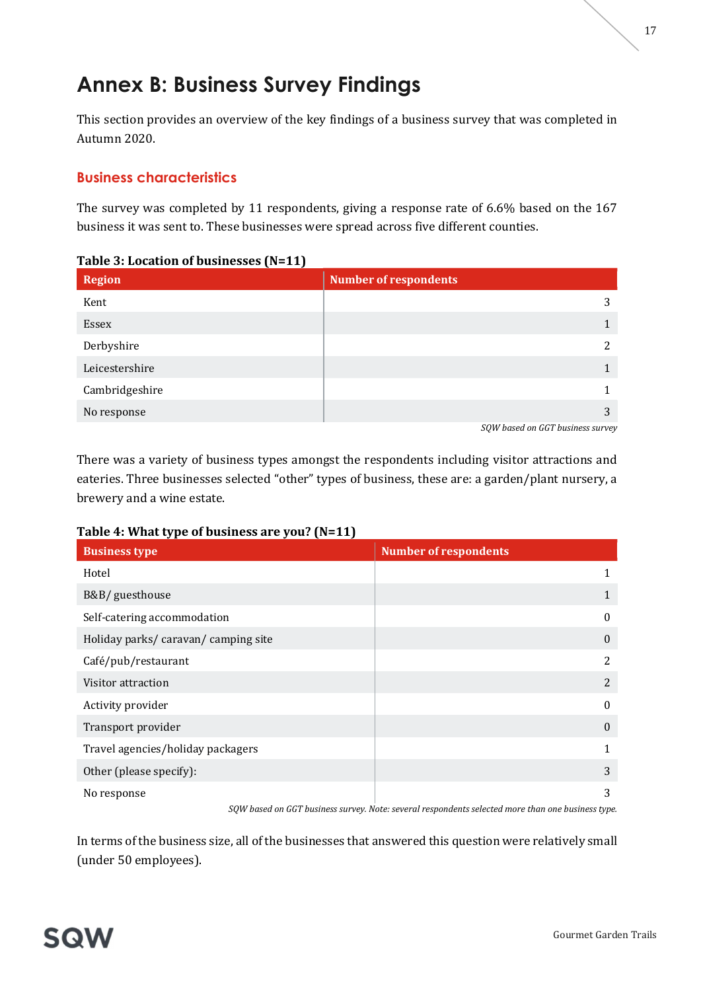# Annex B: Business Survey Findings

This section provides an overview of the key findings of a business survey that was completed in Autumn 2020.

## Business characteristics

The survey was completed by 11 respondents, giving a response rate of 6.6% based on the 167 business it was sent to. These businesses were spread across five different counties.

### Table 3: Location of businesses (N=11)

| <b>Region</b>  | <b>Number of respondents</b>                                 |
|----------------|--------------------------------------------------------------|
| Kent           | 3                                                            |
| Essex          |                                                              |
| Derbyshire     | 2                                                            |
| Leicestershire |                                                              |
| Cambridgeshire |                                                              |
| No response    | 3<br>$\sim$ $\sim$ $\sim$ $\sim$ $\sim$ $\sim$ $\sim$ $\sim$ |

SQW based on GGT business survey

There was a variety of business types amongst the respondents including visitor attractions and eateries. Three businesses selected "other" types of business, these are: a garden/plant nursery, a brewery and a wine estate.

## Table 4: What type of business are you? (N=11)

| <b>Business type</b>               | <b>Number of respondents</b> |
|------------------------------------|------------------------------|
| Hotel                              | 1                            |
| B&B/ guesthouse                    | 1                            |
| Self-catering accommodation        | $\mathbf{0}$                 |
| Holiday parks/caravan/camping site | $\mathbf{0}$                 |
| Café/pub/restaurant                | $\overline{2}$               |
| Visitor attraction                 | 2                            |
| Activity provider                  | $\mathbf{0}$                 |
| Transport provider                 | $\mathbf{0}$                 |
| Travel agencies/holiday packagers  | 1                            |
| Other (please specify):            | 3                            |
| No response                        | 3                            |

SQW based on GGT business survey. Note: several respondents selected more than one business type.

In terms of the business size, all of the businesses that answered this question were relatively small (under 50 employees).

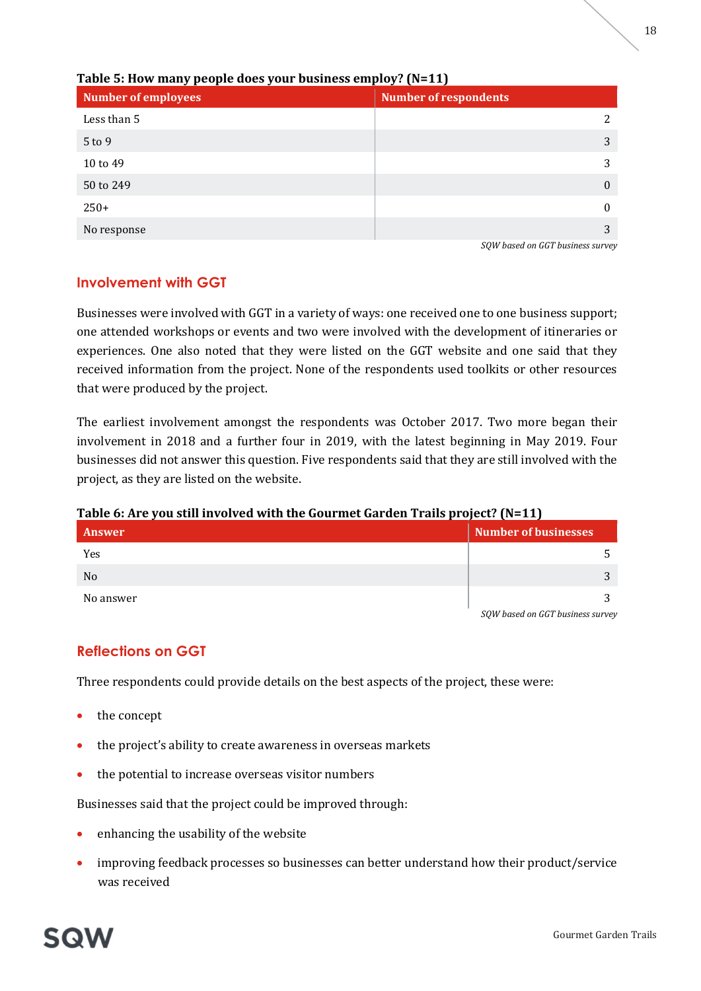

Table 5: How many people does your business employ? (N=11)

SQW based on GGT business survey

## Involvement with GGT

Businesses were involved with GGT in a variety of ways: one received one to one business support; one attended workshops or events and two were involved with the development of itineraries or experiences. One also noted that they were listed on the GGT website and one said that they received information from the project. None of the respondents used toolkits or other resources that were produced by the project.

The earliest involvement amongst the respondents was October 2017. Two more began their involvement in 2018 and a further four in 2019, with the latest beginning in May 2019. Four businesses did not answer this question. Five respondents said that they are still involved with the project, as they are listed on the website.

## Table 6: Are you still involved with the Gourmet Garden Trails project? (N=11)

| Answer         | <b>Number of businesses</b>      |
|----------------|----------------------------------|
| Yes            |                                  |
| N <sub>o</sub> |                                  |
| No answer      |                                  |
|                | SQW based on GGT business survey |

## Reflections on GGT

Three respondents could provide details on the best aspects of the project, these were:

- the concept
- the project's ability to create awareness in overseas markets
- the potential to increase overseas visitor numbers

Businesses said that the project could be improved through:

- enhancing the usability of the website
- improving feedback processes so businesses can better understand how their product/service was received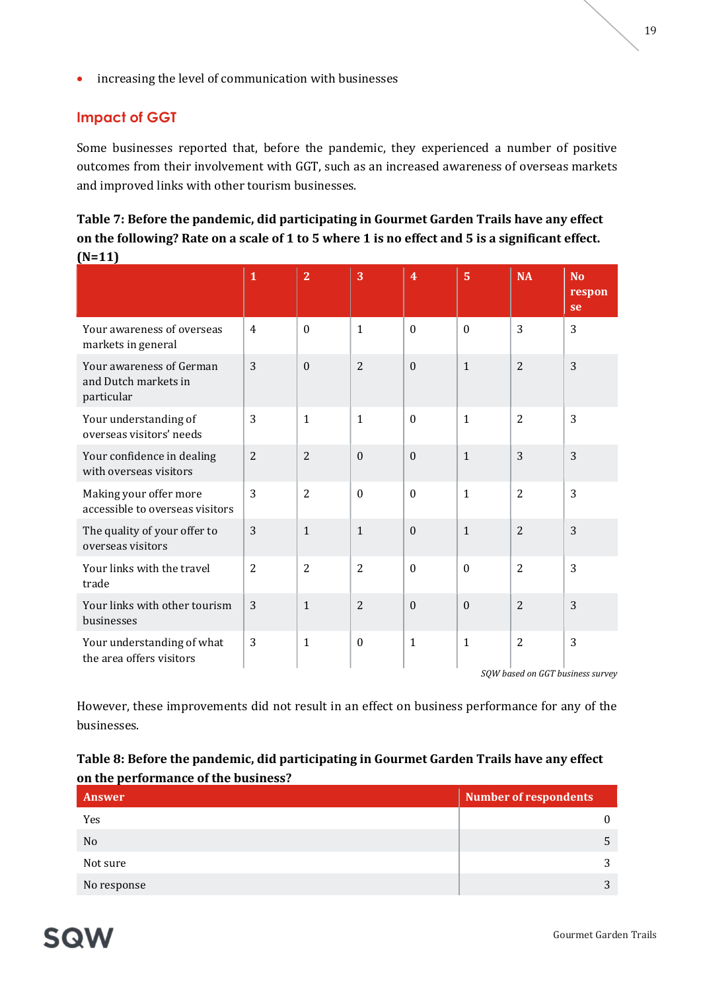**•** increasing the level of communication with businesses

## Impact of GGT

Some businesses reported that, before the pandemic, they experienced a number of positive outcomes from their involvement with GGT, such as an increased awareness of overseas markets and improved links with other tourism businesses.

| Table 7: Before the pandemic, did participating in Gourmet Garden Trails have any effect        |
|-------------------------------------------------------------------------------------------------|
| on the following? Rate on a scale of 1 to 5 where 1 is no effect and 5 is a significant effect. |
| $(N=11)$                                                                                        |

|                                                                | $\mathbf{1}$   | $\overline{2}$ | $\overline{3}$ | $\overline{4}$   | $\overline{5}$ | <b>NA</b>                        | N <sub>o</sub><br>respon<br>se |
|----------------------------------------------------------------|----------------|----------------|----------------|------------------|----------------|----------------------------------|--------------------------------|
| Your awareness of overseas<br>markets in general               | $\overline{4}$ | $\Omega$       | $\mathbf{1}$   | $\Omega$         | $\theta$       | 3                                | 3                              |
| Your awareness of German<br>and Dutch markets in<br>particular | 3              | $\theta$       | $\overline{2}$ | $\boldsymbol{0}$ | $\mathbf{1}$   | $\overline{2}$                   | 3                              |
| Your understanding of<br>overseas visitors' needs              | 3              | $\mathbf{1}$   | $\mathbf{1}$   | $\boldsymbol{0}$ | $\mathbf{1}$   | $\overline{2}$                   | 3                              |
| Your confidence in dealing<br>with overseas visitors           | $\overline{2}$ | $\overline{2}$ | $\mathbf{0}$   | $\boldsymbol{0}$ | $\mathbf{1}$   | 3                                | 3                              |
| Making your offer more<br>accessible to overseas visitors      | 3              | $\overline{2}$ | $\bf{0}$       | $\boldsymbol{0}$ | $\mathbf{1}$   | $\overline{2}$                   | 3                              |
| The quality of your offer to<br>overseas visitors              | 3              | $\mathbf{1}$   | $\mathbf{1}$   | $\boldsymbol{0}$ | $\mathbf{1}$   | $\overline{2}$                   | 3                              |
| Your links with the travel<br>trade                            | $\overline{2}$ | $\overline{2}$ | $\overline{2}$ | $\boldsymbol{0}$ | $\mathbf{0}$   | $\overline{2}$                   | 3                              |
| Your links with other tourism<br>businesses                    | 3              | $\mathbf{1}$   | 2              | $\mathbf{0}$     | $\theta$       | 2                                | 3                              |
| Your understanding of what<br>the area offers visitors         | 3              | $\mathbf{1}$   | $\theta$       | $\mathbf{1}$     | $\mathbf{1}$   | $\overline{2}$                   | 3                              |
|                                                                |                |                |                |                  |                | SOW based on GGT business survey |                                |

However, these improvements did not result in an effect on business performance for any of the businesses.

## Table 8: Before the pandemic, did participating in Gourmet Garden Trails have any effect on the performance of the business?

| Answer      | <b>Number of respondents</b> |
|-------------|------------------------------|
| Yes         | $\Omega$                     |
| No          |                              |
| Not sure    | ◠                            |
| No response | ີ                            |